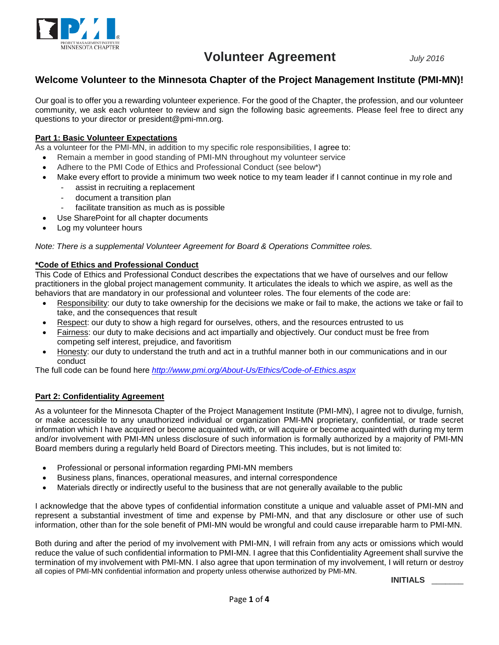

### **Welcome Volunteer to the Minnesota Chapter of the Project Management Institute (PMI-MN)!**

Our goal is to offer you a rewarding volunteer experience. For the good of the Chapter, the profession, and our volunteer community, we ask each volunteer to review and sign the following basic agreements. Please feel free to direct any questions to your director or president@pmi-mn.org.

### **Part 1: Basic Volunteer Expectations**

As a volunteer for the PMI-MN, in addition to my specific role responsibilities, I agree to:

- Remain a member in good standing of PMI-MN throughout my volunteer service
- Adhere to the PMI Code of Ethics and Professional Conduct (see below\*)
- Make every effort to provide a minimum two week notice to my team leader if I cannot continue in my role and assist in recruiting a replacement
	- document a transition plan
	- facilitate transition as much as is possible
- Use SharePoint for all chapter documents
- Log my volunteer hours

*Note: There is a supplemental Volunteer Agreement for Board & Operations Committee roles.*

#### **\*Code of Ethics and Professional Conduct**

This Code of Ethics and Professional Conduct describes the expectations that we have of ourselves and our fellow practitioners in the global project management community. It articulates the ideals to which we aspire, as well as the behaviors that are mandatory in our professional and volunteer roles. The four elements of the code are:

- Responsibility: our duty to take ownership for the decisions we make or fail to make, the actions we take or fail to take, and the consequences that result
- Respect: our duty to show a high regard for ourselves, others, and the resources entrusted to us
- Fairness: our duty to make decisions and act impartially and objectively. Our conduct must be free from competing self interest, prejudice, and favoritism
- Honesty: our duty to understand the truth and act in a truthful manner both in our communications and in our conduct

The full code can be found here *<http://www.pmi.org/About-Us/Ethics/Code-of-Ethics.aspx>*

### **Part 2: Confidentiality Agreement**

As a volunteer for the Minnesota Chapter of the Project Management Institute (PMI-MN), I agree not to divulge, furnish, or make accessible to any unauthorized individual or organization PMI-MN proprietary, confidential, or trade secret information which I have acquired or become acquainted with, or will acquire or become acquainted with during my term and/or involvement with PMI-MN unless disclosure of such information is formally authorized by a majority of PMI-MN Board members during a regularly held Board of Directors meeting. This includes, but is not limited to:

- Professional or personal information regarding PMI-MN members
- Business plans, finances, operational measures, and internal correspondence
- Materials directly or indirectly useful to the business that are not generally available to the public

I acknowledge that the above types of confidential information constitute a unique and valuable asset of PMI-MN and represent a substantial investment of time and expense by PMI-MN, and that any disclosure or other use of such information, other than for the sole benefit of PMI-MN would be wrongful and could cause irreparable harm to PMI-MN.

Both during and after the period of my involvement with PMI-MN, I will refrain from any acts or omissions which would reduce the value of such confidential information to PMI-MN. I agree that this Confidentiality Agreement shall survive the termination of my involvement with PMI-MN. I also agree that upon termination of my involvement, I will return or destroy all copies of PMI-MN confidential information and property unless otherwise authorized by PMI-MN.

**INITIALS** \_\_\_\_\_\_\_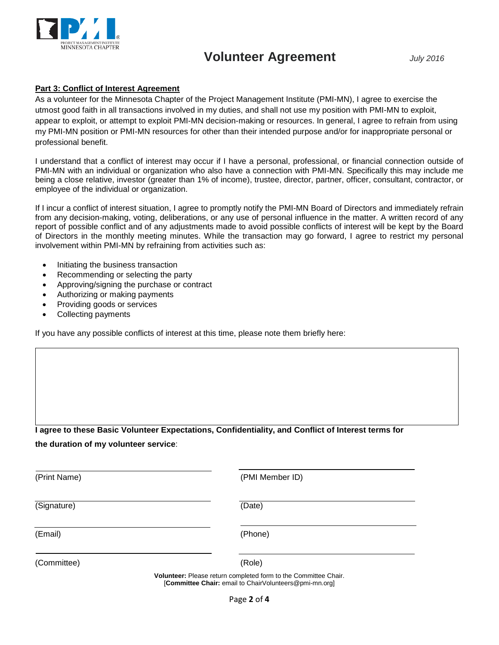

#### **Part 3: Conflict of Interest Agreement**

As a volunteer for the Minnesota Chapter of the Project Management Institute (PMI-MN), I agree to exercise the utmost good faith in all transactions involved in my duties, and shall not use my position with PMI-MN to exploit, appear to exploit, or attempt to exploit PMI-MN decision-making or resources. In general, I agree to refrain from using my PMI-MN position or PMI-MN resources for other than their intended purpose and/or for inappropriate personal or professional benefit.

I understand that a conflict of interest may occur if I have a personal, professional, or financial connection outside of PMI-MN with an individual or organization who also have a connection with PMI-MN. Specifically this may include me being a close relative, investor (greater than 1% of income), trustee, director, partner, officer, consultant, contractor, or employee of the individual or organization.

If I incur a conflict of interest situation, I agree to promptly notify the PMI-MN Board of Directors and immediately refrain from any decision-making, voting, deliberations, or any use of personal influence in the matter. A written record of any report of possible conflict and of any adjustments made to avoid possible conflicts of interest will be kept by the Board of Directors in the monthly meeting minutes. While the transaction may go forward, I agree to restrict my personal involvement within PMI-MN by refraining from activities such as:

- Initiating the business transaction
- Recommending or selecting the party
- Approving/signing the purchase or contract
- Authorizing or making payments
- Providing goods or services
- Collecting payments

If you have any possible conflicts of interest at this time, please note them briefly here:

**I agree to these Basic Volunteer Expectations, Confidentiality, and Conflict of Interest terms for**

**the duration of my volunteer service**:

(Print Name) (PMI Member ID) (Signature) (Date) (Email) (Phone) (Committee) (Role)

**Volunteer:** Please return completed form to the Committee Chair. [**Committee Chair:** email to ChairVolunteers@pmi-mn.org]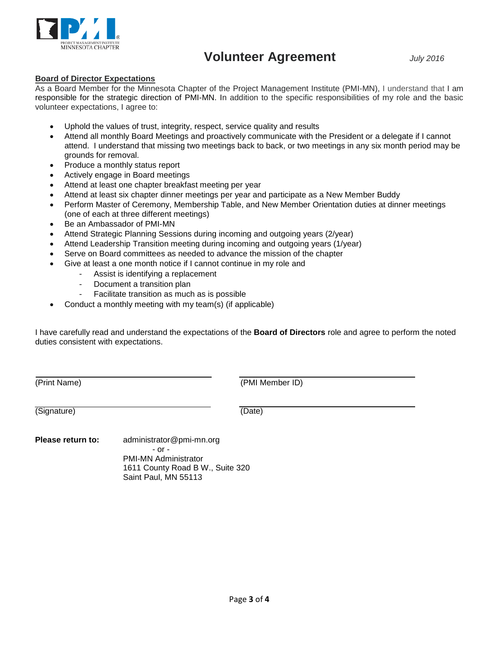

#### **Board of Director Expectations**

As a Board Member for the Minnesota Chapter of the Project Management Institute (PMI-MN), I understand that I am responsible for the strategic direction of PMI-MN. In addition to the specific responsibilities of my role and the basic volunteer expectations, I agree to:

- Uphold the values of trust, integrity, respect, service quality and results
- Attend all monthly Board Meetings and proactively communicate with the President or a delegate if I cannot attend. I understand that missing two meetings back to back, or two meetings in any six month period may be grounds for removal.
- Produce a monthly status report
- Actively engage in Board meetings
- Attend at least one chapter breakfast meeting per year
- Attend at least six chapter dinner meetings per year and participate as a New Member Buddy
- Perform Master of Ceremony, Membership Table, and New Member Orientation duties at dinner meetings (one of each at three different meetings)
- Be an Ambassador of PMI-MN
- Attend Strategic Planning Sessions during incoming and outgoing years (2/year)
- Attend Leadership Transition meeting during incoming and outgoing years (1/year)
- Serve on Board committees as needed to advance the mission of the chapter
- Give at least a one month notice if I cannot continue in my role and
	- Assist is identifying a replacement
	- Document a transition plan
	- Facilitate transition as much as is possible
- Conduct a monthly meeting with my team(s) (if applicable)

I have carefully read and understand the expectations of the **Board of Directors** role and agree to perform the noted duties consistent with expectations.

(Print Name) (PMI Member ID)

(Signature) (Date)

**Please return to:** administrator@pmi-mn.org - or - PMI-MN Administrator 1611 County Road B W., Suite 320 Saint Paul, MN 55113